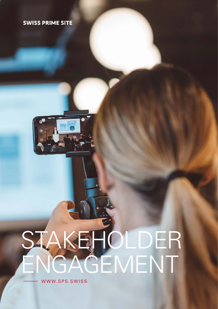### **SWISS PRIME SITE**



# STAKEHOLDER ENGAGEMENT

WWW.SPS.SWISS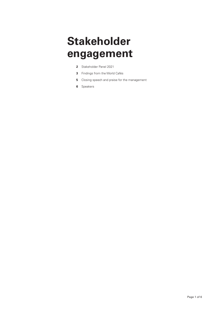## **Stakeholder engagement**

- **2** Stakeholder Panel 2021
- **3** Findings from the World Cafés
- **5** Closing speech and praise for the management
- **6** Speakers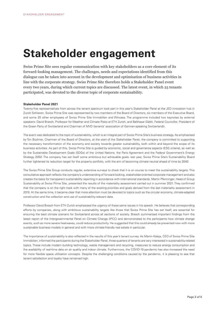## **Stakeholder engagement**

Swiss Prime Site sees regular communication with key stakeholders as a core element of its forward-looking management. The challenges, needs and expectations identified from this dialogue can be taken into account in the development and optimisation of business activities in line with the corporate strategy. Swiss Prime Site therefore holds a Stakeholder Panel event every two years, during which current topics are discussed. The latest event, in which 25 tenants participated, was devoted to the diverse topic of corporate sustainability.

#### **Stakeholder Panel 2021**

Twenty-five representatives from across the tenant spectrum took part in this year's Stakeholder Panel at the JED innovation hub in Zurich Schlieren. Swiss Prime Site was represented by two members of the Board of Directors, six members of the Executive Board, and some 20 other employees of Swiss Prime Site Immobilien and Wincasa. The programme included two keynotes by external speakers: David Bresch, Professor for Weather and Climate Risks at ETH Zurich, and Balthasar Glättli, Federal Councillor, President of the Green Party of Switzerland and Chairman of MVD (tenants' association of German-speaking Switzerland)).

The event was dedicated to the topic of sustainability, which is an integral part of Swiss Prime Site's business strategy. As emphasised by Ton Büchner, Chairman of the Board of Directors, at the start of the Stakeholder Panel, the company is committed to supporting the necessary transformation of the economy and society towards greater sustainability, both within and beyond the scope of its business activities. As part of this, Swiss Prime Site is guided by economic, social and governance aspects (ESG criteria), as well as by the Sustainable Development Goals (SDGs) of the United Nations, the Paris Agreement and the Federal Government's Energy Strategy 2050. The company has set itself some ambitious but achievable goals: last year, Swiss Prime Site's Sustainability Board further tightened its reduction target for the property portfolio, with the aim of becoming climate neutral ahead of time by 2040.

The Swiss Prime Site Group conducts regular, extensive surveys to check that it is on course to meet the sustainability targets. This consultative approach reflects the company's understanding of forward-looking, stakeholder-oriented corporate management and also creates the basis for transparent sustainability reporting in accordance with international standards. Martin Pfenninger, Head of Group Sustainability at Swiss Prime Site, presented the results of the materiality assessment carried out in summer 2021. They confirmed that the company is on the right track with many of the existing priorities and goals derived from the last materiality assessment in 2019. At the same time, it became clear that more attention must be devoted to topics such as the circular economy, climate-adapted construction and the collection and use of sustainability-relevant data.

Professor David Bresch from ETH Zurich emphasised the urgency of these same issues in his speech. He believes that corresponding efforts by companies, along with ambitious sustainability targets like those that Swiss Prime Site has set itself, are essential for ensuring the best climate scenario for Switzerland across all sections of society. Bresch summarised important findings from the latest report of the Intergovernmental Panel on Climate Change (IPCC) and demonstrated to the participants how climate change events, such as more severe heatwaves, could reduce productivity. He suggested that this could already be prevented now with more sustainable business models in general and with more climate-friendly real estate in particular.

The importance of sustainability is also reflected in the results of this year's tenant survey. As Martin Kaleja, CEO of Swiss Prime Site Immobilien, informed the participants during the Stakeholder Panel, three-quarters of tenants are very interested in sustainability-related topics. These include modern building technology, waste management and recycling, measures to reduce energy consumption and the availability of real-time data on air quality and indoor climate. Furthermore, the COVID-19 pandemic has also increased the need for more flexible space utilisation concepts. Despite the challenging conditions caused by the pandemic, it is pleasing to see that tenant satisfaction and loyalty have remained high.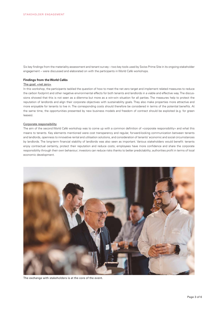Six key findings from the materiality assessment and tenant survey – two key tools used by Swiss Prime Site in its ongoing stakeholder engagement – were discussed and elaborated on with the participants in World Café workshops.

#### **Findings from the World Cafés**

#### The goal: «net zero»

In this workshop, the participants tackled the question of how to meet the net zero target and implement related measures to reduce the carbon footprint and other negative environmental effects for both tenants and landlords in a viable and effective way. The discussions showed that this is not seen as a dilemma but more as a win-win situation for all parties. The measures help to protect the reputation of landlords and align their corporate objectives with sustainability goals. They also make properties more attractive and more enjoyable for tenants to live in. The corresponding costs should therefore be considered in terms of the potential benefits. At the same time, the opportunities presented by new business models and freedom of contract should be exploited (e.g. for green leases).

#### Corporate responsibility

The aim of the second World Café workshop was to come up with a common definition of «corporate responsibility» and what this means to tenants. Key elements mentioned were cost transparency and regular, forward-looking communication between tenants and landlords, openness to innovative rental and utilisation solutions, and consideration of tenants' economic and social circumstances by landlords. The long-term financial stability of landlords was also seen as important. Various stakeholders would benefit: tenants enjoy contractual certainty, protect their reputation and reduce costs; employees have more confidence and share the corporate responsibility through their own behaviour; investors can reduce risks thanks to better predictability; authorities profit in terms of local economic development.



The exchange with stakeholders is at the core of the event.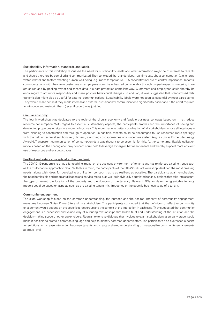#### Sustainability information, standards and labels

The participants of this workshop discussed the need for sustainability labels and what information might be of interest to tenants and should therefore be compiled and communicated. They concluded that standardised, real-time data about consumption (e.g. energy, water, waste) and factors affecting human well-being (e.g. room temperature,  $\rm CO_2$  concentration) are of central importance. Tenants' communications with their own customers or employees could be enhanced considerably through property-specific metering infrastructures and by pooling owner and tenant data in a data-protection-compliant way. Customers and employees could thereby be encouraged to act more responsibly and make positive behavioural changes. In addition, it was suggested that standardised data transmission might also be useful for external communications. Sustainability labels were not seen as essential by most participants. They would make sense if they made internal and external sustainability communications significantly easier and if the effort required to introduce and maintain them (recertification) was justified.

#### Circular economy

The fourth workshop was dedicated to the topic of the circular economy and feasible business concepts based on it that reduce resource consumption. With regard to essential sustainability aspects, the participants emphasised the importance of seeing and developing properties or sites in a more holistic way. This would require better coordination of all stakeholders across all interfaces – from planning to construction and through to operation. In addition, tenants could be encouraged to use resources more sparingly with the help of technical solutions (e.g. timers), switching cost approaches or an incentive system (e.g. a «Swiss Prime Site Energy Award»). Transparent communication of consumption data was thought to be essential for this. At the same time, flexible utilisation models based on the sharing economy concept could help to leverage synergies between tenants and thereby support more efficient use of resources and existing spaces.

#### Resilient real estate concepts after the pandemic

The COVID-19 pandemic has had a far-reaching impact on the business environment of tenants and has reinforced existing trends such as the multichannel approach to retail. With this in mind, the participants of the fifth World Café workshop identified the most pressing needs, along with ideas for developing a utilisation concept that is as resilient as possible. The participants again emphasised the need for flexible and modular utilisation and service models, as well as individually negotiated tenancy options that take into account the type of tenant, the location of the property and the duration of the tenancy. Relevant KPIs for determining suitable tenancy models could be based on aspects such as the existing tenant mix, frequency or the specific business value of a tenant.

#### Community engagement

The sixth workshop focused on the common understanding, the purpose and the desired intensity of community engagement measures between Swiss Prime Site and its stakeholders. The participants concluded that the definition of effective community engagement would depend on the specific target group and the context of the interaction in each case. They suggested that community engagement is a necessary and valued way of nurturing relationships that builds trust and understanding of the situation and the decision-making scope of other stakeholders. Regular, extensive dialogue that involves relevant stakeholders at an early stage would make it possible to create a common language and help to identify common denominators. The participants also expressed a desire for solutions to increase interaction between tenants and create a shared understanding of «responsible community engagement» at group level.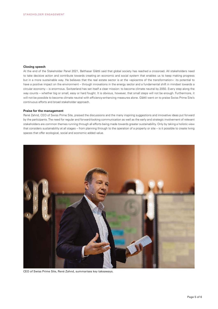#### **Closing speech**

At the end of the Stakeholder Panel 2021, Balthasar Glättli said that global society has reached a crossroad. All stakeholders need to take decisive action and contribute towards creating an economic and social system that enables us to keep making progress but in a more sustainable way. He believes that the real estate sector is at the «epicentre of the transformation»: its potential to have a positive impact on the environment – through innovations in the energy sector and a fundamental shift in mindset towards a circular economy – is enormous. Switzerland has set itself a clear mission: to become climate neutral by 2050. Every step along the way counts – whether big or small, easy or hard fought. It is obvious, however, that small steps will not be enough. Furthermore, it will not be possible to become climate neutral with efficiency-enhancing measures alone. Glättli went on to praise Swiss Prime Site's continuous efforts and broad stakeholder approach.

#### **Praise for the management**

René Zahnd, CEO of Swiss Prime Site, praised the discussions and the many inspiring suggestions and innovative ideas put forward by the participants. The need for regular and forward-looking communication as well as the early and strategic involvement of relevant stakeholders are common themes running through all efforts being made towards greater sustainability. Only by taking a holistic view that considers sustainability at all stages – from planning through to the operation of a property or site – is it possible to create living spaces that offer ecological, social and economic added value.



CEO of Swiss Prime Site, René Zahnd, summarises key takeaways.